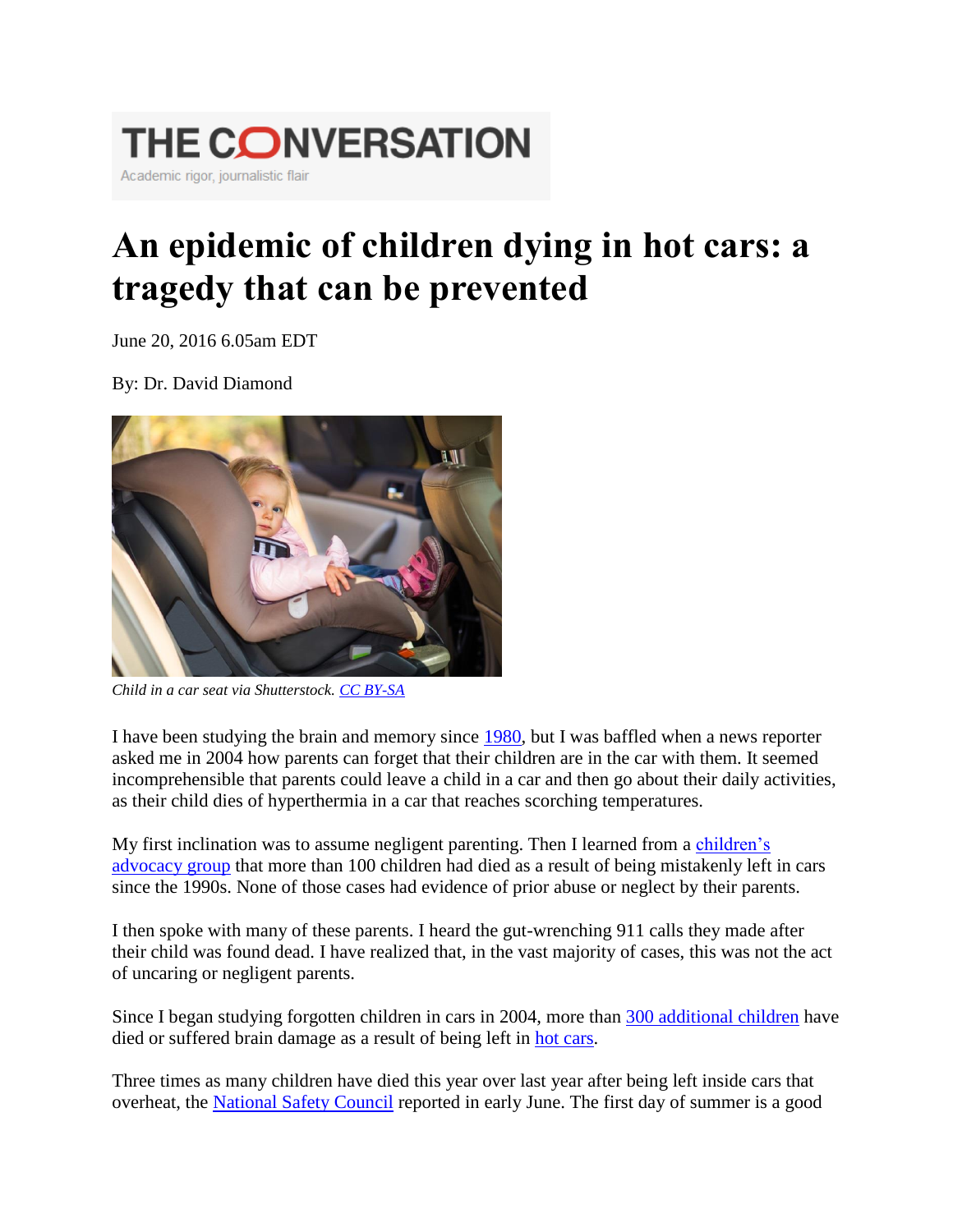

## **An epidemic of children dying in hot cars: a tragedy that can be prevented**

June 20, 2016 6.05am EDT

By: Dr. David Diamond



*Child in a car seat via Shutterstock. [CC BY-SA](http://creativecommons.org/licenses/by-sa/4.0/)*

I have been studying the brain and memory since [1980,](http://psychology.usf.edu/faculty/diamond/) but I was baffled when a news reporter asked me in 2004 how parents can forget that their children are in the car with them. It seemed incomprehensible that parents could leave a child in a car and then go about their daily activities, as their child dies of hyperthermia in a car that reaches scorching temperatures.

My first inclination was to assume negligent parenting. Then I learned from a [children's](http://www.kidsandcars.org/)  [advocacy group](http://www.kidsandcars.org/) that more than 100 children had died as a result of being mistakenly left in cars since the 1990s. None of those cases had evidence of prior abuse or neglect by their parents.

I then spoke with many of these parents. I heard the gut-wrenching 911 calls they made after their child was found dead. I have realized that, in the vast majority of cases, this was not the act of uncaring or negligent parents.

Since I began studying forgotten children in cars in 2004, more than [300 additional children](https://theconversation.com/www.KidsandCars.org/statistics.html) have died or suffered brain damage as a result of being left in [hot cars.](https://theconversation.com/www.noheatstroke.org)

Three times as many children have died this year over last year after being left inside cars that overheat, the [National Safety Council](http://www.cnn.com/2016/06/09/us/hot-car-deaths-trnd/index.html) reported in early June. The first day of summer is a good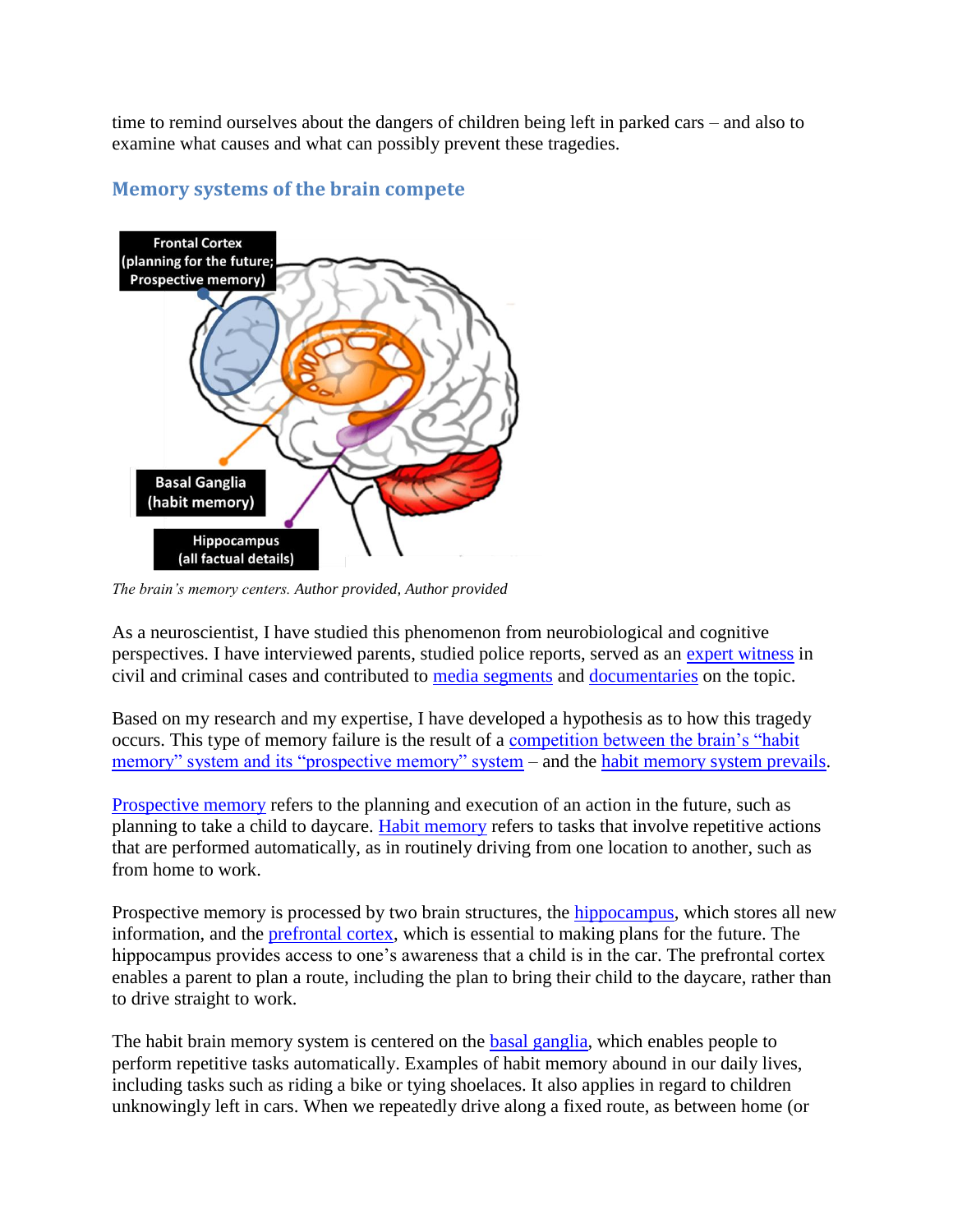time to remind ourselves about the dangers of children being left in parked cars – and also to examine what causes and what can possibly prevent these tragedies.



## **Memory systems of the brain compete**

*The brain's memory centers. Author provided, Author provided*

As a neuroscientist, I have studied this phenomenon from neurobiological and cognitive perspectives. I have interviewed parents, studied police reports, served as an [expert witness](http://www.buckslocalnews.com/articles/2010/03/30/the_advance/news/doc4ba7ef0b6347f321983405.txt?viewmode=fullstory) in civil and criminal cases and contributed to [media segments](https://www.washingtonpost.com/lifestyle/magazine/fatal-distraction-forgetting-a-child-in-thebackseat-of-a-car-is-a-horrifying-mistake-is-it-a-crime/2014/06/16/8ae0fe3a-f580-11e3-a3a5-42be35962a52_story.html) and [documentaries](http://www.cnn.com/2014/07/03/us/hot-car-deaths/) on the topic.

Based on my research and my expertise, I have developed a hypothesis as to how this tragedy occurs. This type of memory failure is the result of a [competition between the brain's "habit](http://www.ncbi.nlm.nih.gov/pubmed/12457750)  [memory" system and its "prospective memory" system](http://www.ncbi.nlm.nih.gov/pubmed/12457750) – and the [habit memory system prevails.](http://www.nature.com/nature/journal/v414/n6863/abs/414546a.html)

[Prospective memory](http://www.psych.wustl.edu/learning/McDaniel_Lab/Prospective_Memory.html) refers to the planning and execution of an action in the future, such as planning to take a child to daycare. [Habit memory](http://www.news-medical.net/news/2005/07/27/12074.aspx) refers to tasks that involve repetitive actions that are performed automatically, as in routinely driving from one location to another, such as from home to work.

Prospective memory is processed by two brain structures, the [hippocampus,](http://www.human-memory.net/types_episodic.html) which stores all new information, and the [prefrontal cortex,](https://cns.utexas.edu/news/understanding-the-prefrontal-cortex) which is essential to making plans for the future. The hippocampus provides access to one's awareness that a child is in the car. The prefrontal cortex enables a parent to plan a route, including the plan to bring their child to the daycare, rather than to drive straight to work.

The habit brain memory system is centered on the [basal ganglia,](http://www.nature.com/nrn/journal/v7/n6/full/nrn1919.html) which enables people to perform repetitive tasks automatically. Examples of habit memory abound in our daily lives, including tasks such as riding a bike or tying shoelaces. It also applies in regard to children unknowingly left in cars. When we repeatedly drive along a fixed route, as between home (or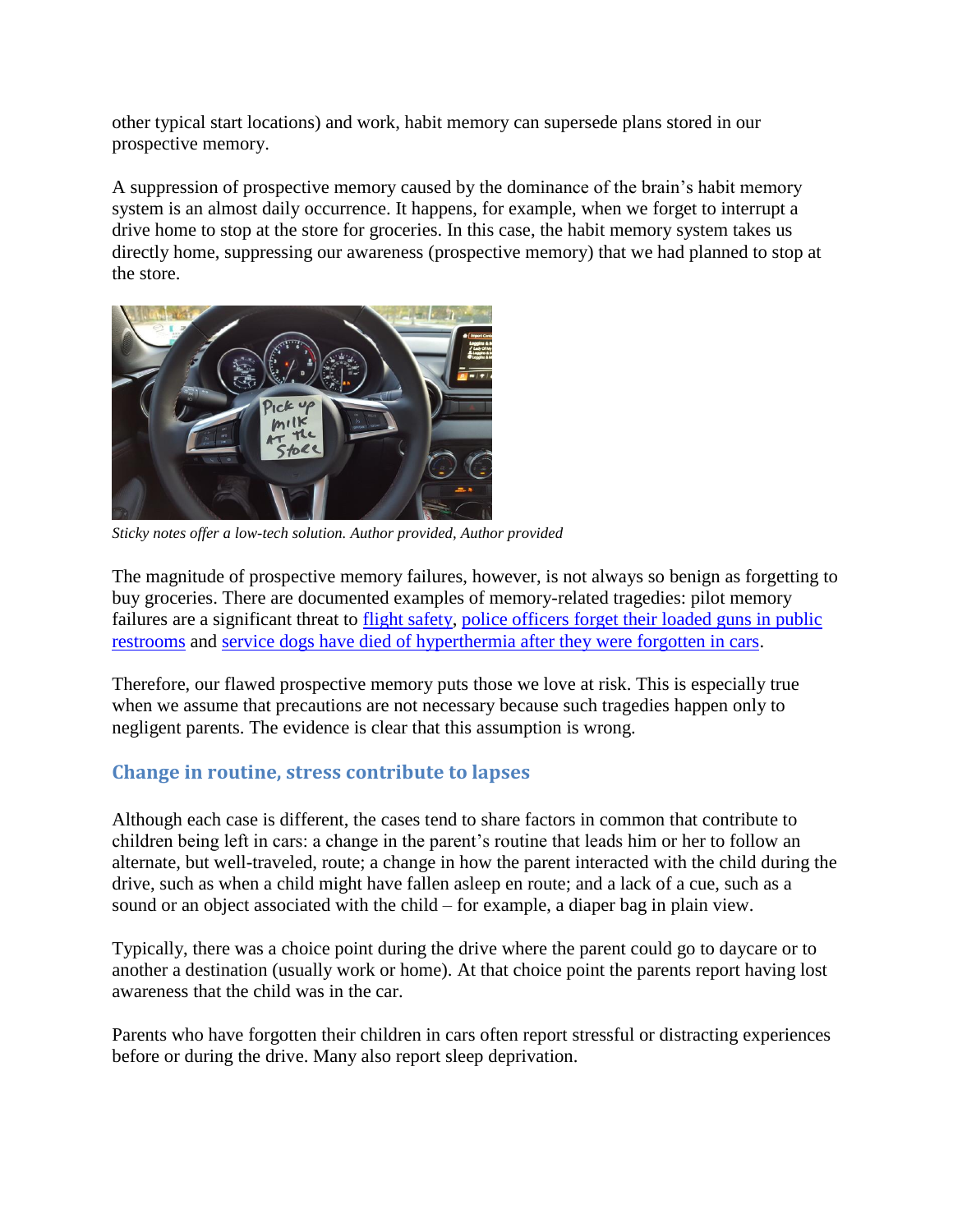other typical start locations) and work, habit memory can supersede plans stored in our prospective memory.

A suppression of prospective memory caused by the dominance of the brain's habit memory system is an almost daily occurrence. It happens, for example, when we forget to interrupt a drive home to stop at the store for groceries. In this case, the habit memory system takes us directly home, suppressing our awareness (prospective memory) that we had planned to stop at the store.



*Sticky notes offer a low-tech solution. Author provided, Author provided*

The magnitude of prospective memory failures, however, is not always so benign as forgetting to buy groceries. There are documented examples of memory-related tragedies: pilot memory failures are a significant threat to [flight safety,](http://airlinesafety.com/editorials/PilotsAndMemory.htm) [police officers forget their loaded guns in public](http://www.cnn.com/2015/05/21/politics/capitol-police-leave-guns-in-bathroom-stalls/)  [restrooms](http://www.cnn.com/2015/05/21/politics/capitol-police-leave-guns-in-bathroom-stalls/) and [service dogs have died of hyperthermia after they were forgotten in cars.](http://dogtime.com/trending/15924-police-dog-left-in-hot-car-dies)

Therefore, our flawed prospective memory puts those we love at risk. This is especially true when we assume that precautions are not necessary because such tragedies happen only to negligent parents. The evidence is clear that this assumption is wrong.

## **Change in routine, stress contribute to lapses**

Although each case is different, the cases tend to share factors in common that contribute to children being left in cars: a change in the parent's routine that leads him or her to follow an alternate, but well-traveled, route; a change in how the parent interacted with the child during the drive, such as when a child might have fallen asleep en route; and a lack of a cue, such as a sound or an object associated with the child – for example, a diaper bag in plain view.

Typically, there was a choice point during the drive where the parent could go to daycare or to another a destination (usually work or home). At that choice point the parents report having lost awareness that the child was in the car.

Parents who have forgotten their children in cars often report stressful or distracting experiences before or during the drive. Many also report sleep deprivation.